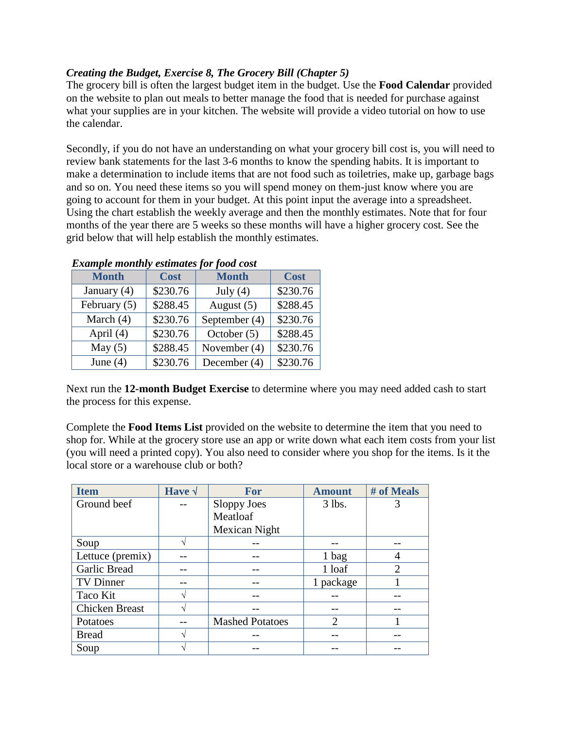## *Creating the Budget, Exercise 8, The Grocery Bill (Chapter 5)*

The grocery bill is often the largest budget item in the budget. Use the **Food Calendar** provided on the website to plan out meals to better manage the food that is needed for purchase against what your supplies are in your kitchen. The website will provide a video tutorial on how to use the calendar.

Secondly, if you do not have an understanding on what your grocery bill cost is, you will need to review bank statements for the last 3-6 months to know the spending habits. It is important to make a determination to include items that are not food such as toiletries, make up, garbage bags and so on. You need these items so you will spend money on them-just know where you are going to account for them in your budget. At this point input the average into a spreadsheet. Using the chart establish the weekly average and then the monthly estimates. Note that for four months of the year there are 5 weeks so these months will have a higher grocery cost. See the grid below that will help establish the monthly estimates.

| Lawing to monthly communes for food cost<br><b>Month</b> | <b>Cost</b> | <b>Month</b>  | <b>Cost</b> |
|----------------------------------------------------------|-------------|---------------|-------------|
|                                                          |             |               |             |
| January (4)                                              | \$230.76    | July $(4)$    | \$230.76    |
| February (5)                                             | \$288.45    | August $(5)$  | \$288.45    |
| March (4)                                                | \$230.76    | September (4) | \$230.76    |
| April $(4)$                                              | \$230.76    | October $(5)$ | \$288.45    |
| May $(5)$                                                | \$288.45    | November (4)  | \$230.76    |
| June $(4)$                                               | \$230.76    | December (4)  | \$230.76    |

## *Example monthly estimates for food cost*

Next run the **12-month Budget Exercise** to determine where you may need added cash to start the process for this expense.

Complete the **Food Items List** provided on the website to determine the item that you need to shop for. While at the grocery store use an app or write down what each item costs from your list (you will need a printed copy). You also need to consider where you shop for the items. Is it the local store or a warehouse club or both?

| <b>Item</b>           | Have $\sqrt$ | <b>For</b>             | <b>Amount</b>               | # of Meals     |
|-----------------------|--------------|------------------------|-----------------------------|----------------|
| Ground beef           |              | Sloppy Joes            | $3$ lbs.                    | 3              |
|                       |              | Meatloaf               |                             |                |
|                       |              | Mexican Night          |                             |                |
| Soup                  |              |                        |                             |                |
| Lettuce (premix)      |              |                        | 1 bag                       | 4              |
| Garlic Bread          |              |                        | 1 loaf                      | $\mathfrak{D}$ |
| <b>TV Dinner</b>      |              |                        | 1 package                   |                |
| Taco Kit              |              |                        |                             |                |
| <b>Chicken Breast</b> |              |                        |                             |                |
| Potatoes              |              | <b>Mashed Potatoes</b> | $\mathcal{D}_{\mathcal{A}}$ |                |
| <b>Bread</b>          |              |                        |                             |                |
| Soup                  |              |                        |                             |                |